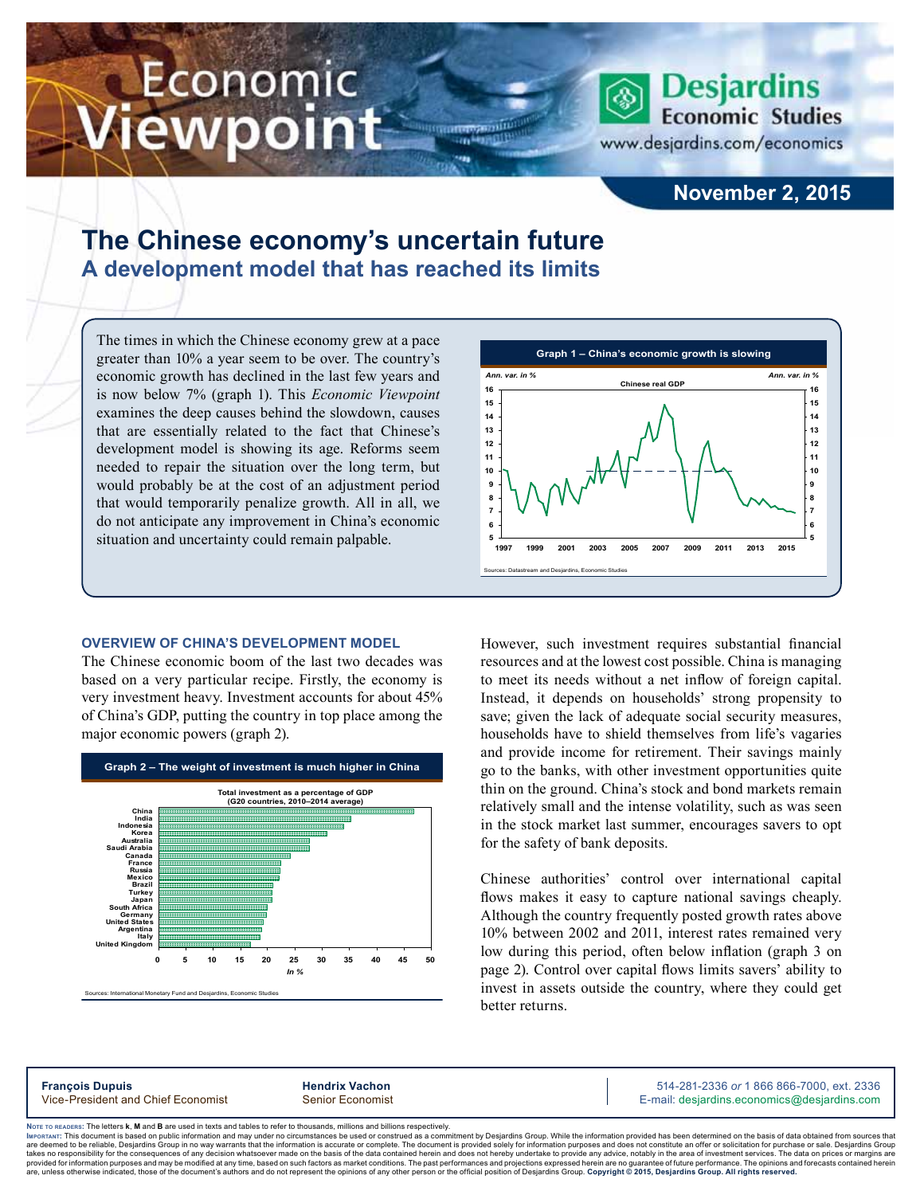# Economic ewpoint

**Desjardins Economic Studies** 

www.desjardins.com/economics

# **November 2, 2015**

# **The Chinese economy's uncertain future A development model that has reached its limits**

m

The times in which the Chinese economy grew at a pace greater than 10% a year seem to be over. The country's economic growth has declined in the last few years and is now below 7% (graph 1). This *Economic Viewpoint* examines the deep causes behind the slowdown, causes that are essentially related to the fact that Chinese's development model is showing its age. Reforms seem needed to repair the situation over the long term, but would probably be at the cost of an adjustment period that would temporarily penalize growth. All in all, we do not anticipate any improvement in China's economic situation and uncertainty could remain palpable.

## **Overview of China's development model**

The Chinese economic boom of the last two decades was based on a very particular recipe. Firstly, the economy is very investment heavy. Investment accounts for about 45% of China's GDP, putting the country in top place among the major economic powers (graph 2).





However, such investment requires substantial financial resources and at the lowest cost possible. China is managing to meet its needs without a net inflow of foreign capital. Instead, it depends on households' strong propensity to save; given the lack of adequate social security measures, households have to shield themselves from life's vagaries and provide income for retirement. Their savings mainly go to the banks, with other investment opportunities quite thin on the ground. China's stock and bond markets remain relatively small and the intense volatility, such as was seen in the stock market last summer, encourages savers to opt for the safety of bank deposits.

Chinese authorities' control over international capital flows makes it easy to capture national savings cheaply. Although the country frequently posted growth rates above 10% between 2002 and 2011, interest rates remained very low during this period, often below inflation (graph 3 on page 2). Control over capital flows limits savers' ability to invest in assets outside the country, where they could get better returns.

**François Dupuis Hendrix Vachon** 514-281-2336 *or* 1 866 866-7000, ext. 2336 Vice-President and Chief Economist Senior Economist Senior Economist E-mail: desjardins.economics@desjardins.com

Noте то келоекs: The letters **k, M** and **B** are used in texts and tables to refer to thousands, millions and billions respectively.<br>Імроктлит: This document is based on public information and may under no circumstances be are deemed to be reliable. Desiardins Group in no way warrants that the information is accurate or complete. The document is provided solely for information purposes and does not constitute an offer or solicitation for pur takes no responsibility for the consequences of any decision whatsoever made on the basis of the data contained herein and does not hereby undertake to provide any advice, notably in the area of investment services. The da are show that information purposes and may be modified at any time, based on such factors as market conditions. The past performances and projections expressed herein are no guarantee of future performance. The opinions ar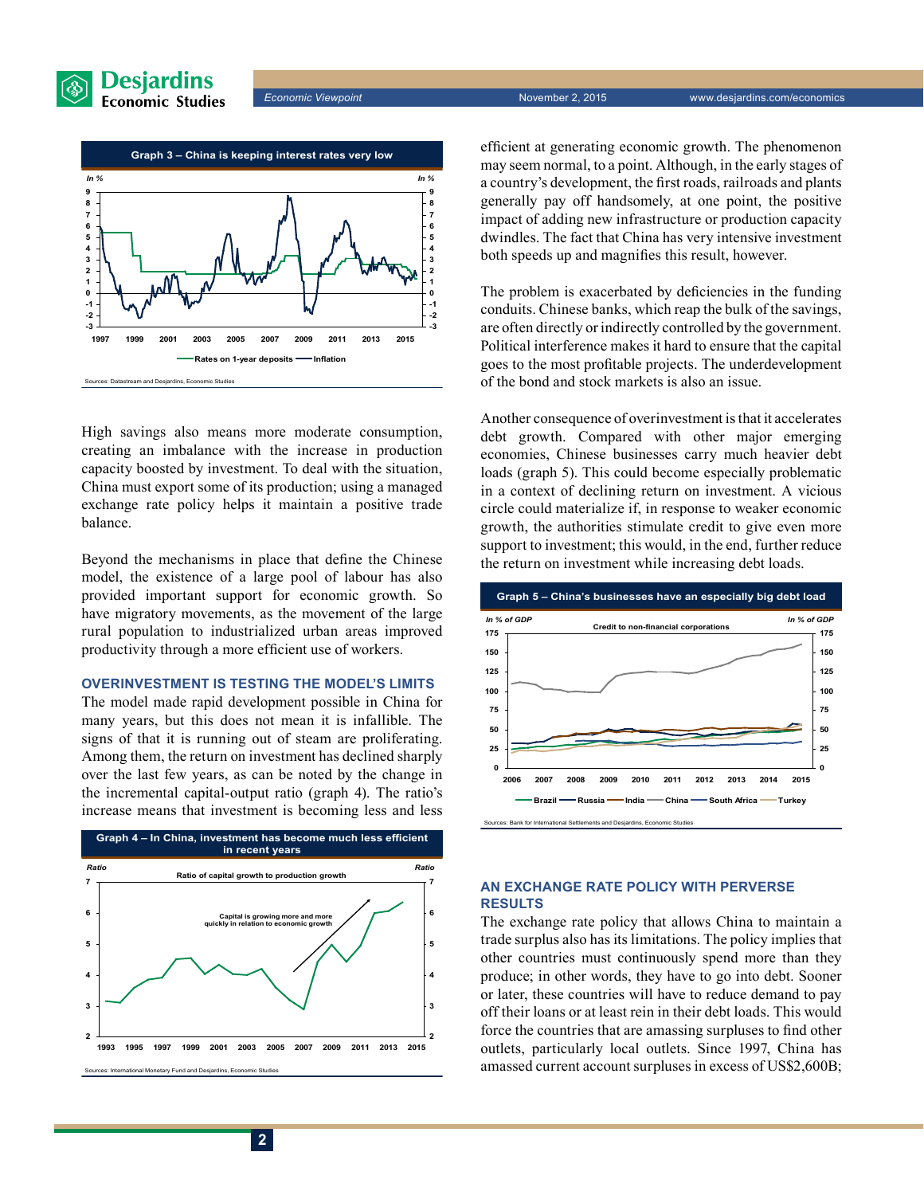

*Economic Viewpoint* November 2, 2015 www.desjardins.com/economics



High savings also means more moderate consumption, creating an imbalance with the increase in production capacity boosted by investment. To deal with the situation, China must export some of its production; using a managed exchange rate policy helps it maintain a positive trade balance.

Beyond the mechanisms in place that define the Chinese model, the existence of a large pool of labour has also provided important support for economic growth. So have migratory movements, as the movement of the large rural population to industrialized urban areas improved productivity through a more efficient use of workers.

#### **Overinvestment is testing the model's limits**

The model made rapid development possible in China for many years, but this does not mean it is infallible. The signs of that it is running out of steam are proliferating. Among them, the return on investment has declined sharply over the last few years, as can be noted by the change in the incremental capital-output ratio (graph 4). The ratio's increase means that investment is becoming less and less



efficient at generating economic growth. The phenomenon may seem normal, to a point. Although, in the early stages of a country's development, the first roads, railroads and plants generally pay off handsomely, at one point, the positive impact of adding new infrastructure or production capacity dwindles. The fact that China has very intensive investment both speeds up and magnifies this result, however.

The problem is exacerbated by deficiencies in the funding conduits. Chinese banks, which reap the bulk of the savings, are often directly or indirectly controlled by the government. Political interference makes it hard to ensure that the capital goes to the most profitable projects. The underdevelopment of the bond and stock markets is also an issue.

Another consequence of overinvestment is that it accelerates debt growth. Compared with other major emerging economies, Chinese businesses carry much heavier debt loads (graph 5). This could become especially problematic in a context of declining return on investment. A vicious circle could materialize if, in response to weaker economic growth, the authorities stimulate credit to give even more support to investment; this would, in the end, further reduce the return on investment while increasing debt loads.



# **An exchange rate policy with perverse results**

The exchange rate policy that allows China to maintain a trade surplus also has its limitations. The policy implies that other countries must continuously spend more than they produce; in other words, they have to go into debt. Sooner or later, these countries will have to reduce demand to pay off their loans or at least rein in their debt loads. This would force the countries that are amassing surpluses to find other outlets, particularly local outlets. Since 1997, China has amassed current account surpluses in excess of US\$2,600B;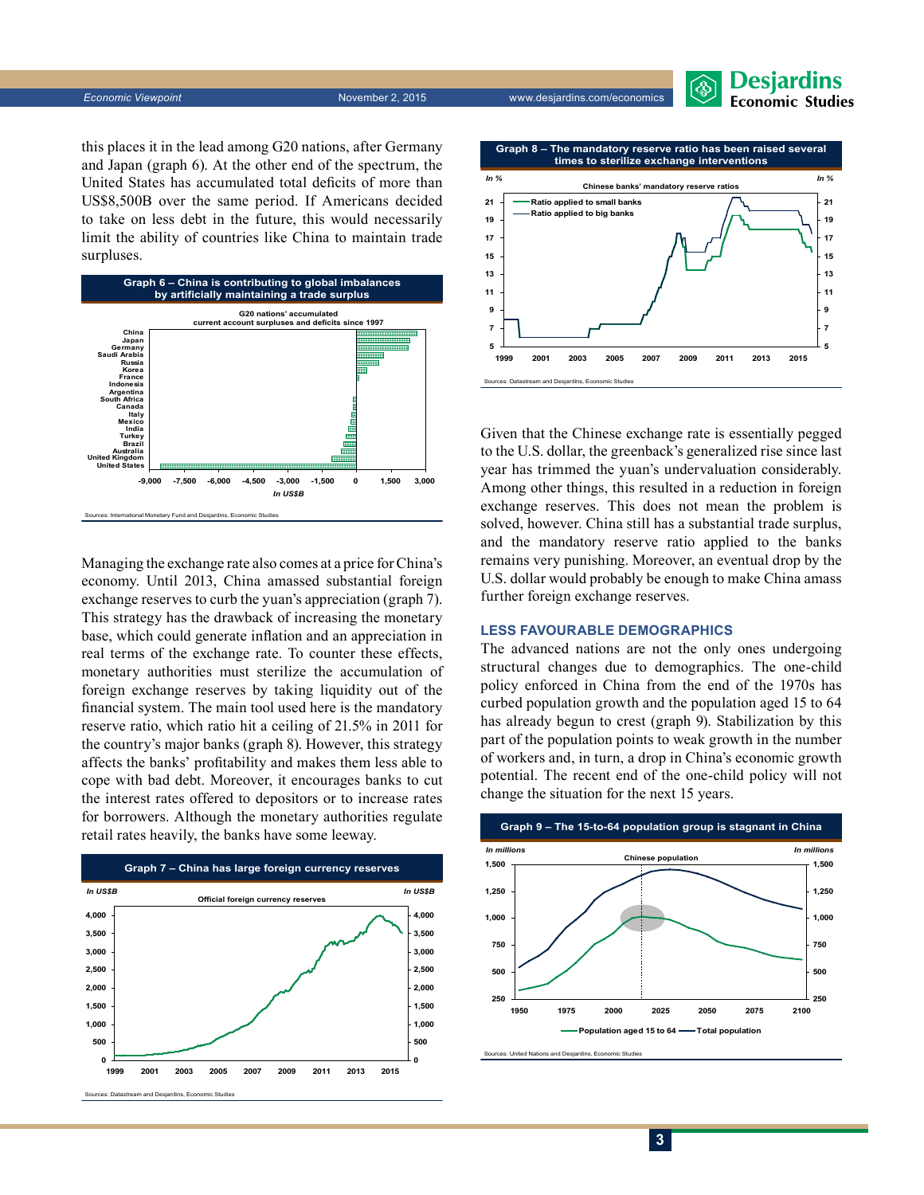**Economic Viewpoint** November 2, 2015 www.desjardins.com/economics



this places it in the lead among G20 nations, after Germany and Japan (graph 6). At the other end of the spectrum, the United States has accumulated total deficits of more than US\$8,500B over the same period. If Americans decided to take on less debt in the future, this would necessarily limit the ability of countries like China to maintain trade surpluses.



Managing the exchange rate also comes at a price for China's economy. Until 2013, China amassed substantial foreign exchange reserves to curb the yuan's appreciation (graph 7). This strategy has the drawback of increasing the monetary base, which could generate inflation and an appreciation in real terms of the exchange rate. To counter these effects, monetary authorities must sterilize the accumulation of foreign exchange reserves by taking liquidity out of the financial system. The main tool used here is the mandatory reserve ratio, which ratio hit a ceiling of 21.5% in 2011 for the country's major banks (graph 8). However, this strategy affects the banks' profitability and makes them less able to cope with bad debt. Moreover, it encourages banks to cut the interest rates offered to depositors or to increase rates for borrowers. Although the monetary authorities regulate retail rates heavily, the banks have some leeway.





Given that the Chinese exchange rate is essentially pegged to the U.S. dollar, the greenback's generalized rise since last year has trimmed the yuan's undervaluation considerably. Among other things, this resulted in a reduction in foreign exchange reserves. This does not mean the problem is solved, however. China still has a substantial trade surplus, and the mandatory reserve ratio applied to the banks remains very punishing. Moreover, an eventual drop by the U.S. dollar would probably be enough to make China amass further foreign exchange reserves.

# **Less favourable demographics**

The advanced nations are not the only ones undergoing structural changes due to demographics. The one-child policy enforced in China from the end of the 1970s has curbed population growth and the population aged 15 to 64 has already begun to crest (graph 9). Stabilization by this part of the population points to weak growth in the number of workers and, in turn, a drop in China's economic growth potential. The recent end of the one-child policy will not change the situation for the next 15 years.



Sources: United Nations and Desjardins, Economic Studies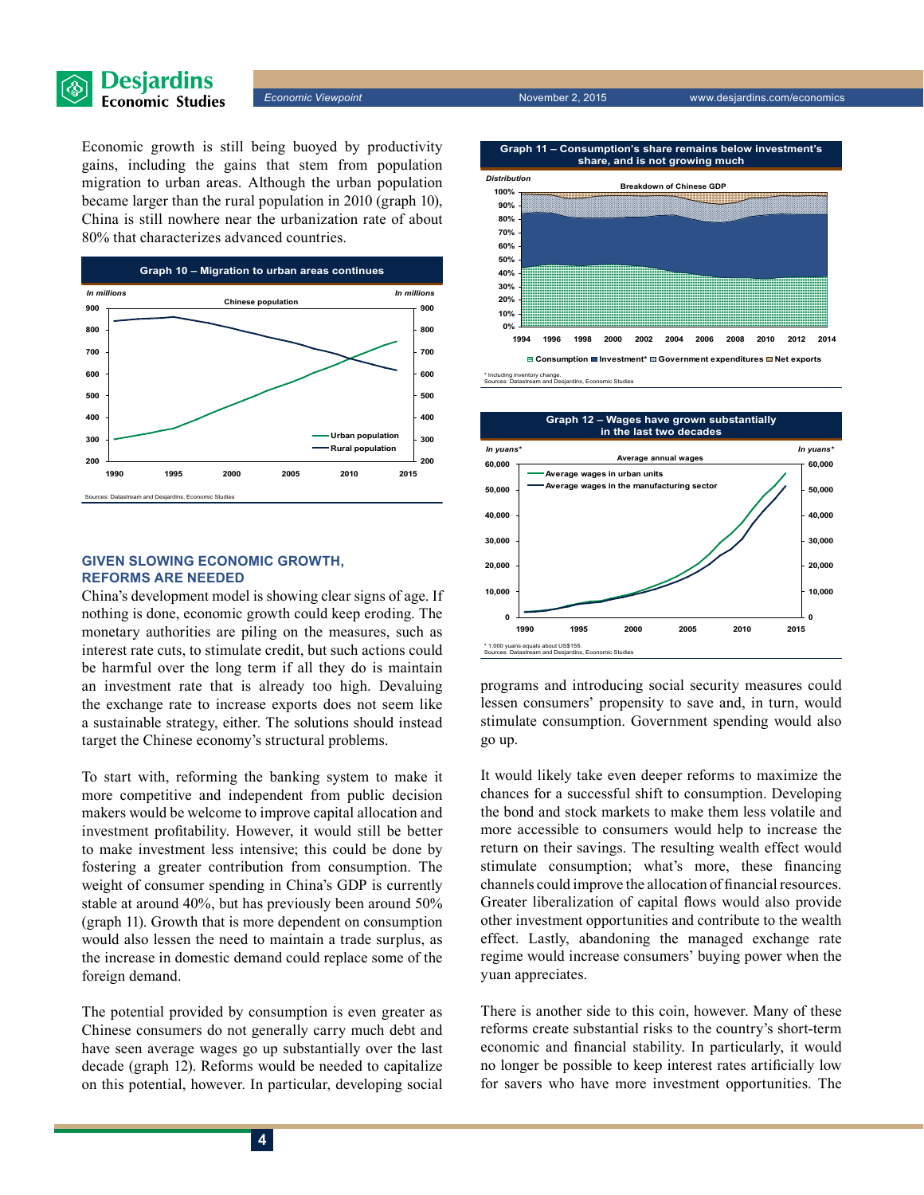

**Economic Viewpoint November 2, 2015** www.desjardins.com/economics

Economic growth is still being buoyed by productivity gains, including the gains that stem from population migration to urban areas. Although the urban population became larger than the rural population in 2010 (graph 10), China is still nowhere near the urbanization rate of about 80% that characterizes advanced countries.



## **Given slowing economic growth, reforms are needed**

China's development model is showing clear signs of age. If nothing is done, economic growth could keep eroding. The monetary authorities are piling on the measures, such as interest rate cuts, to stimulate credit, but such actions could be harmful over the long term if all they do is maintain an investment rate that is already too high. Devaluing the exchange rate to increase exports does not seem like a sustainable strategy, either. The solutions should instead target the Chinese economy's structural problems.

To start with, reforming the banking system to make it more competitive and independent from public decision makers would be welcome to improve capital allocation and investment profitability. However, it would still be better to make investment less intensive; this could be done by fostering a greater contribution from consumption. The weight of consumer spending in China's GDP is currently stable at around 40%, but has previously been around 50% (graph 11). Growth that is more dependent on consumption would also lessen the need to maintain a trade surplus, as the increase in domestic demand could replace some of the foreign demand.

The potential provided by consumption is even greater as Chinese consumers do not generally carry much debt and have seen average wages go up substantially over the last decade (graph 12). Reforms would be needed to capitalize on this potential, however. In particular, developing social





programs and introducing social security measures could lessen consumers' propensity to save and, in turn, would stimulate consumption. Government spending would also go up.

It would likely take even deeper reforms to maximize the chances for a successful shift to consumption. Developing the bond and stock markets to make them less volatile and more accessible to consumers would help to increase the return on their savings. The resulting wealth effect would stimulate consumption; what's more, these financing channels could improve the allocation of financial resources. Greater liberalization of capital flows would also provide other investment opportunities and contribute to the wealth effect. Lastly, abandoning the managed exchange rate regime would increase consumers' buying power when the yuan appreciates.

There is another side to this coin, however. Many of these reforms create substantial risks to the country's short-term economic and financial stability. In particularly, it would no longer be possible to keep interest rates artificially low for savers who have more investment opportunities. The